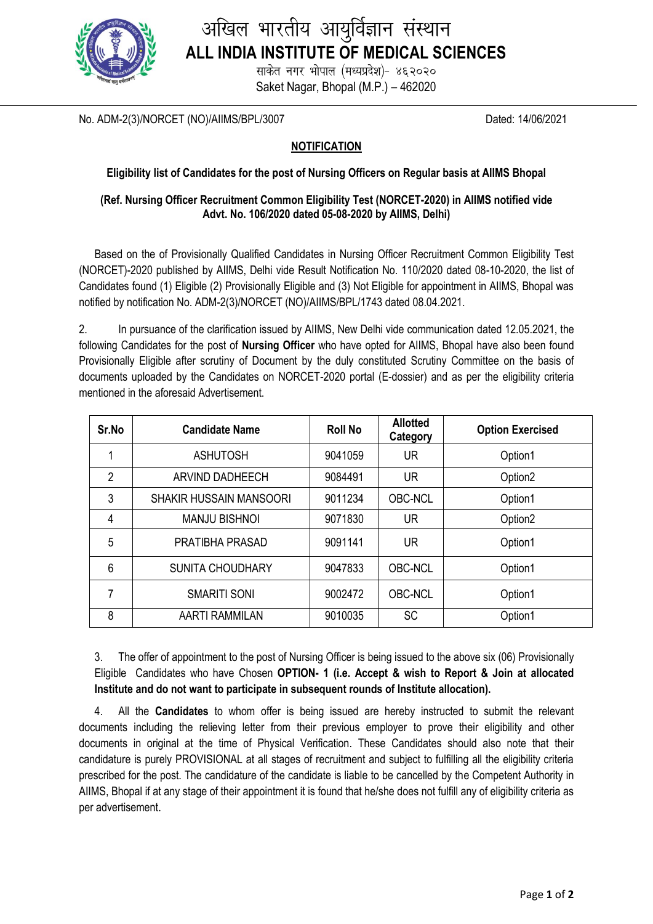

# अखिल भारतीय आयुर्विज्ञान संस्थान **ALL INDIA INSTITUTE OF MEDICAL SCIENCES**

साकेत नगर भोपाल (मध्यप्रदेश)- ४६२०२० Saket Nagar, Bhopal (M.P.) – 462020

No. ADM-2(3)/NORCET (NO)/AIIMS/BPL/3007 Dated: 14/06/2021

## **NOTIFICATION**

### **Eligibility list of Candidates for the post of Nursing Officers on Regular basis at AIIMS Bhopal**

#### **(Ref. Nursing Officer Recruitment Common Eligibility Test (NORCET-2020) in AIIMS notified vide Advt. No. 106/2020 dated 05-08-2020 by AIIMS, Delhi)**

Based on the of Provisionally Qualified Candidates in Nursing Officer Recruitment Common Eligibility Test (NORCET)-2020 published by AIIMS, Delhi vide Result Notification No. 110/2020 dated 08-10-2020, the list of Candidates found (1) Eligible (2) Provisionally Eligible and (3) Not Eligible for appointment in AIIMS, Bhopal was notified by notification No. ADM-2(3)/NORCET (NO)/AIIMS/BPL/1743 dated 08.04.2021.

2. In pursuance of the clarification issued by AIIMS, New Delhi vide communication dated 12.05.2021, the following Candidates for the post of **Nursing Officer** who have opted for AIIMS, Bhopal have also been found Provisionally Eligible after scrutiny of Document by the duly constituted Scrutiny Committee on the basis of documents uploaded by the Candidates on NORCET-2020 portal (E-dossier) and as per the eligibility criteria mentioned in the aforesaid Advertisement.

| Sr.No | <b>Candidate Name</b>          | <b>Roll No</b> | <b>Allotted</b><br>Category | <b>Option Exercised</b> |
|-------|--------------------------------|----------------|-----------------------------|-------------------------|
|       | <b>ASHUTOSH</b>                | 9041059        | <b>UR</b>                   | Option1                 |
| 2     | ARVIND DADHEECH                | 9084491        | UR                          | Option <sub>2</sub>     |
| 3     | <b>SHAKIR HUSSAIN MANSOORI</b> | 9011234        | <b>OBC-NCL</b>              | Option1                 |
| 4     | <b>MANJU BISHNOI</b>           | 9071830        | UR                          | Option <sub>2</sub>     |
| 5     | PRATIBHA PRASAD                | 9091141        | <b>UR</b>                   | Option1                 |
| 6     | <b>SUNITA CHOUDHARY</b>        | 9047833        | <b>OBC-NCL</b>              | Option1                 |
| 7     | <b>SMARITI SONI</b>            | 9002472        | <b>OBC-NCL</b>              | Option1                 |
| 8     | <b>AARTI RAMMILAN</b>          | 9010035        | <b>SC</b>                   | Option1                 |

3. The offer of appointment to the post of Nursing Officer is being issued to the above six (06) Provisionally Eligible Candidates who have Chosen **OPTION- 1 (i.e. Accept & wish to Report & Join at allocated Institute and do not want to participate in subsequent rounds of Institute allocation).**

4. All the **Candidates** to whom offer is being issued are hereby instructed to submit the relevant documents including the relieving letter from their previous employer to prove their eligibility and other documents in original at the time of Physical Verification. These Candidates should also note that their candidature is purely PROVISIONAL at all stages of recruitment and subject to fulfilling all the eligibility criteria prescribed for the post. The candidature of the candidate is liable to be cancelled by the Competent Authority in AIIMS, Bhopal if at any stage of their appointment it is found that he/she does not fulfill any of eligibility criteria as per advertisement.